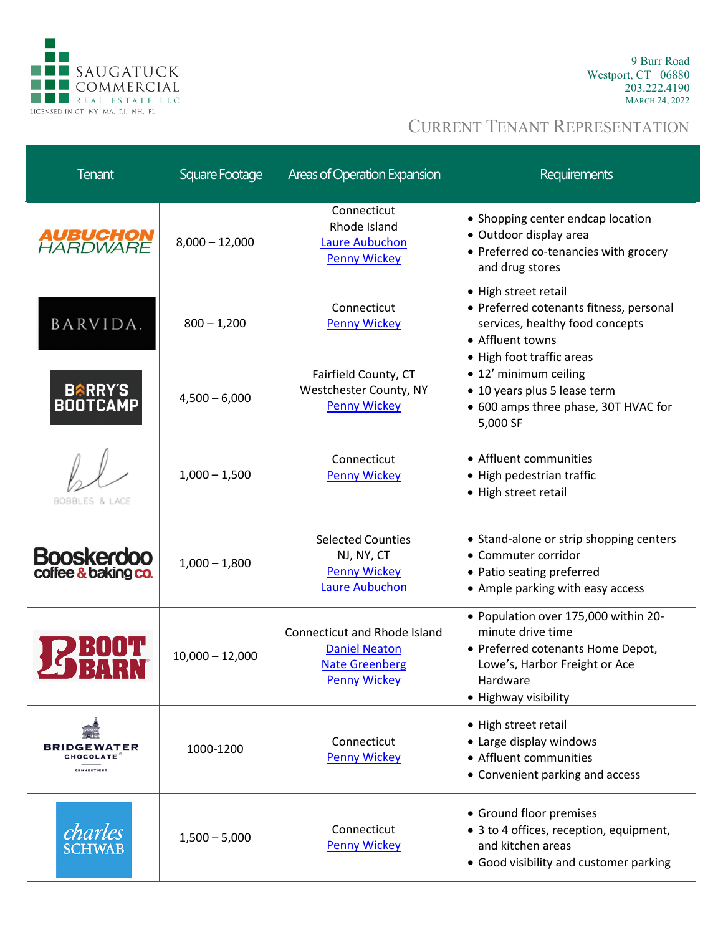

9 Burr Road Westport, CT 06880 203.222.4190 MARCH 24, 2022

| <b>Tenant</b>                                                | Square Footage    | <b>Areas of Operation Expansion</b>                                                                         | Requirements                                                                                                                                                        |
|--------------------------------------------------------------|-------------------|-------------------------------------------------------------------------------------------------------------|---------------------------------------------------------------------------------------------------------------------------------------------------------------------|
| <b>AUBUCHON<br/>HARDWARE</b>                                 | $8,000 - 12,000$  | Connecticut<br>Rhode Island<br><b>Laure Aubuchon</b><br><b>Penny Wickey</b>                                 | • Shopping center endcap location<br>· Outdoor display area<br>• Preferred co-tenancies with grocery<br>and drug stores                                             |
| BARVIDA.                                                     | $800 - 1,200$     | Connecticut<br><b>Penny Wickey</b>                                                                          | • High street retail<br>• Preferred cotenants fitness, personal<br>services, healthy food concepts<br>• Affluent towns<br>• High foot traffic areas                 |
| <b>BARRY'S<br/>BOOTCAMP</b>                                  | $4,500 - 6,000$   | Fairfield County, CT<br>Westchester County, NY<br><b>Penny Wickey</b>                                       | • 12' minimum ceiling<br>• 10 years plus 5 lease term<br>• 600 amps three phase, 30T HVAC for<br>5,000 SF                                                           |
| BOBBLES & LACE                                               | $1,000 - 1,500$   | Connecticut<br><b>Penny Wickey</b>                                                                          | • Affluent communities<br>• High pedestrian traffic<br>• High street retail                                                                                         |
| <b>Booskerdoo</b><br>coffee & baking co.                     | $1,000 - 1,800$   | <b>Selected Counties</b><br>NJ, NY, CT<br><b>Penny Wickey</b><br><b>Laure Aubuchon</b>                      | • Stand-alone or strip shopping centers<br>• Commuter corridor<br>• Patio seating preferred<br>• Ample parking with easy access                                     |
|                                                              | $10,000 - 12,000$ | <b>Connecticut and Rhode Island</b><br><b>Daniel Neaton</b><br><b>Nate Greenberg</b><br><b>Penny Wickey</b> | • Population over 175,000 within 20-<br>minute drive time<br>• Preferred cotenants Home Depot,<br>Lowe's, Harbor Freight or Ace<br>Hardware<br>• Highway visibility |
| <b>BRIDGEWATER</b><br><b>CHOCOLATE</b><br><b>CONNECTICUT</b> | 1000-1200         | Connecticut<br><b>Penny Wickey</b>                                                                          | • High street retail<br>• Large display windows<br>• Affluent communities<br>• Convenient parking and access                                                        |
| charles<br><b>SCHWAB</b>                                     | $1,500 - 5,000$   | Connecticut<br><b>Penny Wickey</b>                                                                          | • Ground floor premises<br>• 3 to 4 offices, reception, equipment,<br>and kitchen areas<br>• Good visibility and customer parking                                   |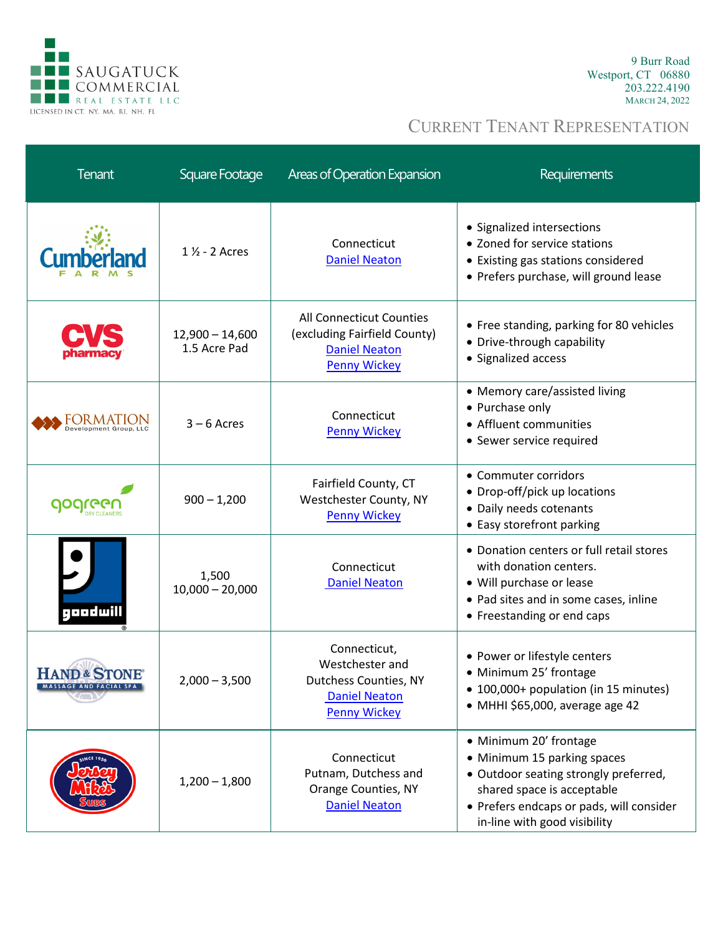

9 Burr Road Westport, CT 06880 203.222.4190 MARCH 24, 2022

| <b>Tenant</b>                                      | Square Footage                    | Areas of Operation Expansion                                                                            | Requirements                                                                                                                                                                                             |
|----------------------------------------------------|-----------------------------------|---------------------------------------------------------------------------------------------------------|----------------------------------------------------------------------------------------------------------------------------------------------------------------------------------------------------------|
|                                                    | 1 1/2 - 2 Acres                   | Connecticut<br><b>Daniel Neaton</b>                                                                     | • Signalized intersections<br>• Zoned for service stations<br>• Existing gas stations considered<br>• Prefers purchase, will ground lease                                                                |
|                                                    | $12,900 - 14,600$<br>1.5 Acre Pad | All Connecticut Counties<br>(excluding Fairfield County)<br><b>Daniel Neaton</b><br><b>Penny Wickey</b> | • Free standing, parking for 80 vehicles<br>• Drive-through capability<br>• Signalized access                                                                                                            |
| ORMATION<br>evelopment Group, LLC                  | $3 - 6$ Acres                     | Connecticut<br><b>Penny Wickey</b>                                                                      | • Memory care/assisted living<br>• Purchase only<br>• Affluent communities<br>• Sewer service required                                                                                                   |
| gogreg                                             | $900 - 1,200$                     | Fairfield County, CT<br>Westchester County, NY<br><b>Penny Wickey</b>                                   | • Commuter corridors<br>• Drop-off/pick up locations<br>• Daily needs cotenants<br>• Easy storefront parking                                                                                             |
| geedwill                                           | 1,500<br>$10,000 - 20,000$        | Connecticut<br><b>Daniel Neaton</b>                                                                     | • Donation centers or full retail stores<br>with donation centers.<br>• Will purchase or lease<br>• Pad sites and in some cases, inline<br>• Freestanding or end caps                                    |
| <b>HAND &amp; STONE®</b><br>MASSAGE AND FACIAL SPA | $2,000 - 3,500$                   | Connecticut,<br>Westchester and<br>Dutchess Counties, NY<br><b>Daniel Neaton</b><br><b>Penny Wickey</b> | • Power or lifestyle centers<br>• Minimum 25' frontage<br>• 100,000+ population (in 15 minutes)<br>• MHHI \$65,000, average age 42                                                                       |
|                                                    | $1,200 - 1,800$                   | Connecticut<br>Putnam, Dutchess and<br>Orange Counties, NY<br><b>Daniel Neaton</b>                      | • Minimum 20' frontage<br>• Minimum 15 parking spaces<br>• Outdoor seating strongly preferred,<br>shared space is acceptable<br>• Prefers endcaps or pads, will consider<br>in-line with good visibility |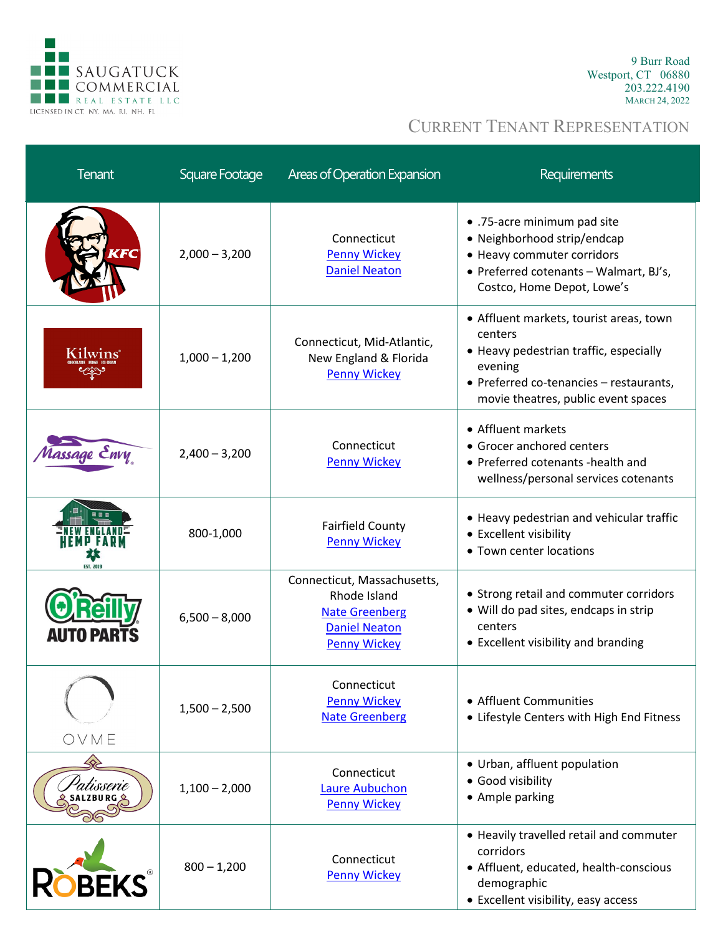

9 Burr Road Westport, CT 06880 203.222.4190 MARCH 24, 2022

| <b>Tenant</b>     | Square Footage  | <b>Areas of Operation Expansion</b>                                                                                 | <b>Requirements</b>                                                                                                                                                                       |
|-------------------|-----------------|---------------------------------------------------------------------------------------------------------------------|-------------------------------------------------------------------------------------------------------------------------------------------------------------------------------------------|
| 17 C              | $2,000 - 3,200$ | Connecticut<br><b>Penny Wickey</b><br><b>Daniel Neaton</b>                                                          | • .75-acre minimum pad site<br>• Neighborhood strip/endcap<br>• Heavy commuter corridors<br>• Preferred cotenants - Walmart, BJ's,<br>Costco, Home Depot, Lowe's                          |
| Kilwins           | $1,000 - 1,200$ | Connecticut, Mid-Atlantic,<br>New England & Florida<br><b>Penny Wickey</b>                                          | • Affluent markets, tourist areas, town<br>centers<br>• Heavy pedestrian traffic, especially<br>evening<br>• Preferred co-tenancies - restaurants,<br>movie theatres, public event spaces |
| lassage Envy      | $2,400 - 3,200$ | Connecticut<br><b>Penny Wickey</b>                                                                                  | • Affluent markets<br>• Grocer anchored centers<br>• Preferred cotenants -health and<br>wellness/personal services cotenants                                                              |
|                   | 800-1,000       | <b>Fairfield County</b><br><b>Penny Wickey</b>                                                                      | • Heavy pedestrian and vehicular traffic<br>• Excellent visibility<br>• Town center locations                                                                                             |
| <b>AUTO PARTS</b> | $6,500 - 8,000$ | Connecticut, Massachusetts,<br>Rhode Island<br><b>Nate Greenberg</b><br><b>Daniel Neaton</b><br><b>Penny Wickey</b> | • Strong retail and commuter corridors<br>• Will do pad sites, endcaps in strip<br>centers<br>• Excellent visibility and branding                                                         |
| OVME              | $1,500 - 2,500$ | Connecticut<br><b>Penny Wickey</b><br><b>Nate Greenberg</b>                                                         | • Affluent Communities<br>• Lifestyle Centers with High End Fitness                                                                                                                       |
| 'atisserie        | $1,100 - 2,000$ | Connecticut<br><b>Laure Aubuchon</b><br><b>Penny Wickey</b>                                                         | • Urban, affluent population<br>• Good visibility<br>• Ample parking                                                                                                                      |
| <b>DBEKS</b>      | $800 - 1,200$   | Connecticut<br><b>Penny Wickey</b>                                                                                  | • Heavily travelled retail and commuter<br>corridors<br>• Affluent, educated, health-conscious<br>demographic<br>• Excellent visibility, easy access                                      |